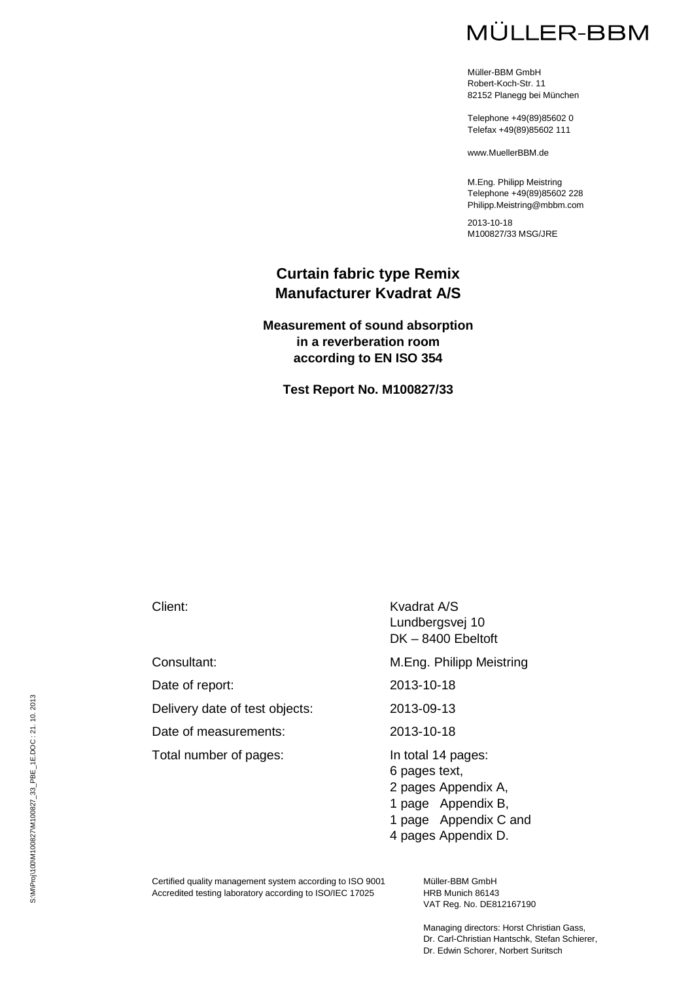# **MÜLLER-BBM**

Müller-BBM GmbH Robert-Koch-Str. 11 82152 Planegg bei München

Telephone +49(89)85602 0 Telefax +49(89)85602 111

www.MuellerBBM.de

M.Eng. Philipp Meistring Telephone +49(89)85602 228 Philipp.Meistring@mbbm.com

2013-10-18 M100827/33 MSG/JRE

### **Curtain fabric type Remix Manufacturer Kvadrat A/S**

**Measurement of sound absorption in a reverberation room according to EN ISO 354**

**Test Report No. M100827/33**

Date of report: 2013-10-18

Delivery date of test objects: 2013-09-13

Date of measurements: 2013-10-18

Total number of pages:<br>
In total 14 pages:

Client: Kvadrat A/S Lundbergsvej 10 DK – 8400 Ebeltoft

Consultant: M.Eng. Philipp Meistring

6 pages text,

2 pages Appendix A,

1 page Appendix B,

1 page Appendix C and

4 pages Appendix D.

Certified quality management system according to ISO 9001 Accredited testing laboratory according to ISO/IEC 17025

Müller-BBM GmbH HRB Munich 86143 VAT Reg. No. DE812167190

Managing directors: Horst Christian Gass, Dr. Carl-Christian Hantschk, Stefan Schierer, Dr. Edwin Schorer, Norbert Suritsch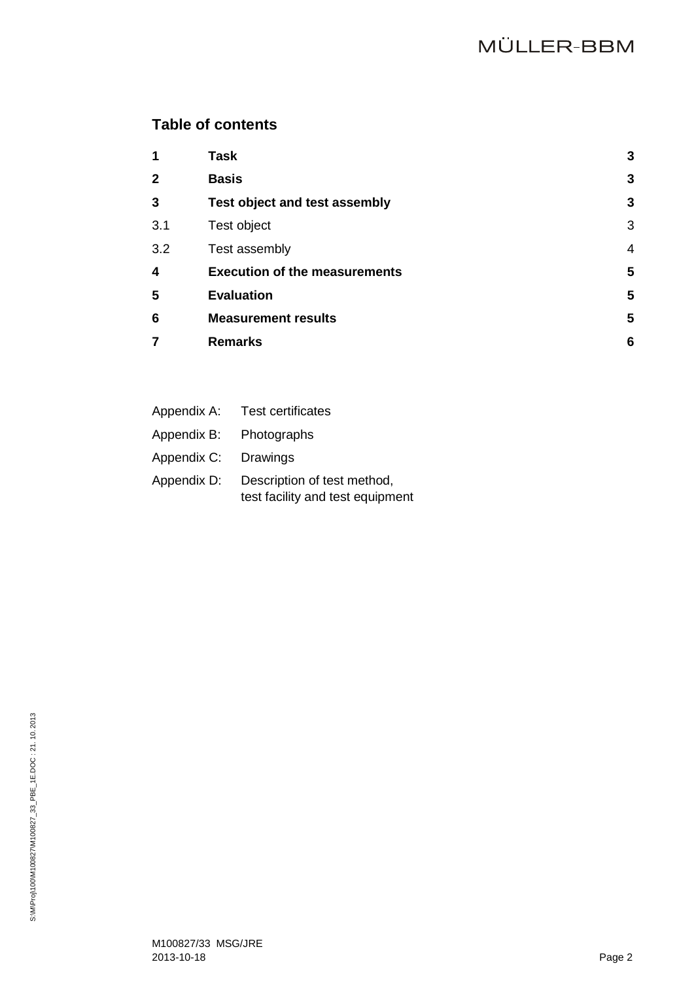# **Table of contents**

| 1            | <b>Task</b>                          | 3              |
|--------------|--------------------------------------|----------------|
| $\mathbf{2}$ | <b>Basis</b>                         | 3              |
| 3            | Test object and test assembly        | 3              |
| 3.1          | Test object                          | 3              |
| 3.2          | Test assembly                        | $\overline{4}$ |
| 4            | <b>Execution of the measurements</b> | 5              |
| 5            | <b>Evaluation</b>                    | 5              |
| 6            | <b>Measurement results</b>           | 5              |
| 7            | <b>Remarks</b>                       | 6              |
|              |                                      |                |

|             | Appendix A: Test certificates                                   |
|-------------|-----------------------------------------------------------------|
| Appendix B: | Photographs                                                     |
| Appendix C: | Drawings                                                        |
| Appendix D: | Description of test method,<br>test facility and test equipment |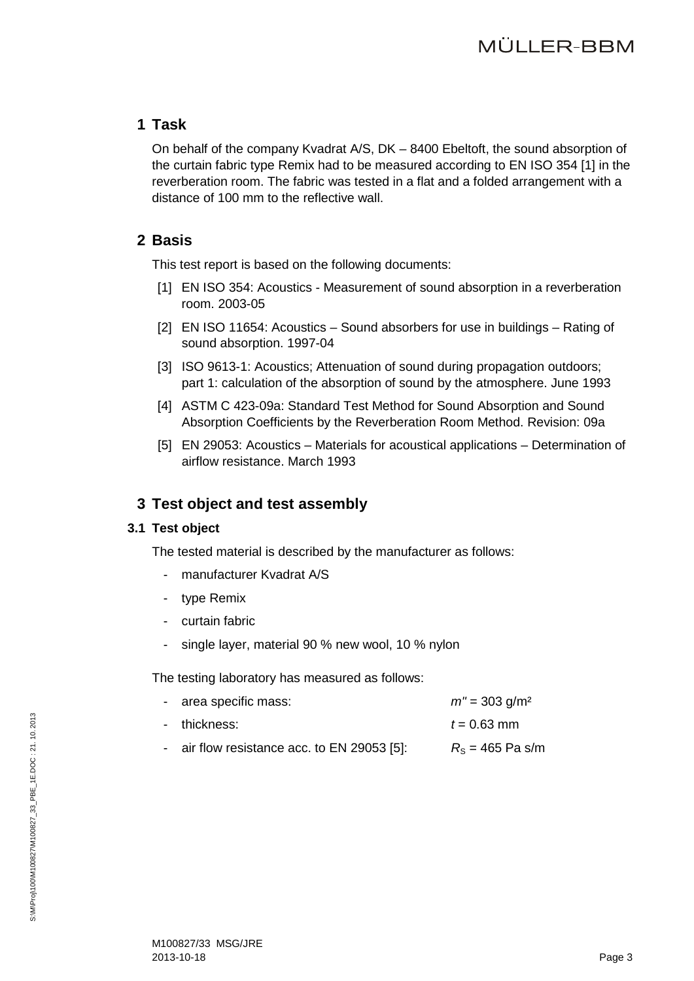# <span id="page-2-0"></span>**1 Task**

On behalf of the company Kvadrat A/S, DK – 8400 Ebeltoft, the sound absorption of the curtain fabric type Remix had to be measured according to EN ISO 354 [\[1\]](#page-2-4) in the reverberation room. The fabric was tested in a flat and a folded arrangement with a distance of 100 mm to the reflective wall.

# <span id="page-2-4"></span><span id="page-2-1"></span>**2 Basis**

This test report is based on the following documents:

- [1] EN ISO 354: Acoustics Measurement of sound absorption in a reverberation room. 2003-05
- <span id="page-2-6"></span>[2] EN ISO 11654: Acoustics – Sound absorbers for use in buildings – Rating of sound absorption. 1997-04
- <span id="page-2-8"></span>[3] ISO 9613-1: Acoustics; Attenuation of sound during propagation outdoors; part 1: calculation of the absorption of sound by the atmosphere. June 1993
- <span id="page-2-7"></span>[4] ASTM C 423-09a: Standard Test Method for Sound Absorption and Sound Absorption Coefficients by the Reverberation Room Method. Revision: 09a
- [5] EN 29053: Acoustics Materials for acoustical applications Determination of airflow resistance. March 1993

# <span id="page-2-5"></span><span id="page-2-2"></span>**3 Test object and test assembly**

### <span id="page-2-3"></span>**3.1 Test object**

The tested material is described by the manufacturer as follows:

- manufacturer Kvadrat A/S
- type Remix
- curtain fabric
- single layer, material 90 % new wool, 10 % nylon

The testing laboratory has measured as follows:

| - area specific mass:                       | $m'' = 303$ g/m <sup>2</sup> |
|---------------------------------------------|------------------------------|
| - thickness:                                | $t = 0.63$ mm                |
| - air flow resistance acc. to EN 29053 [5]: | $R_{\rm s}$ = 465 Pa s/m     |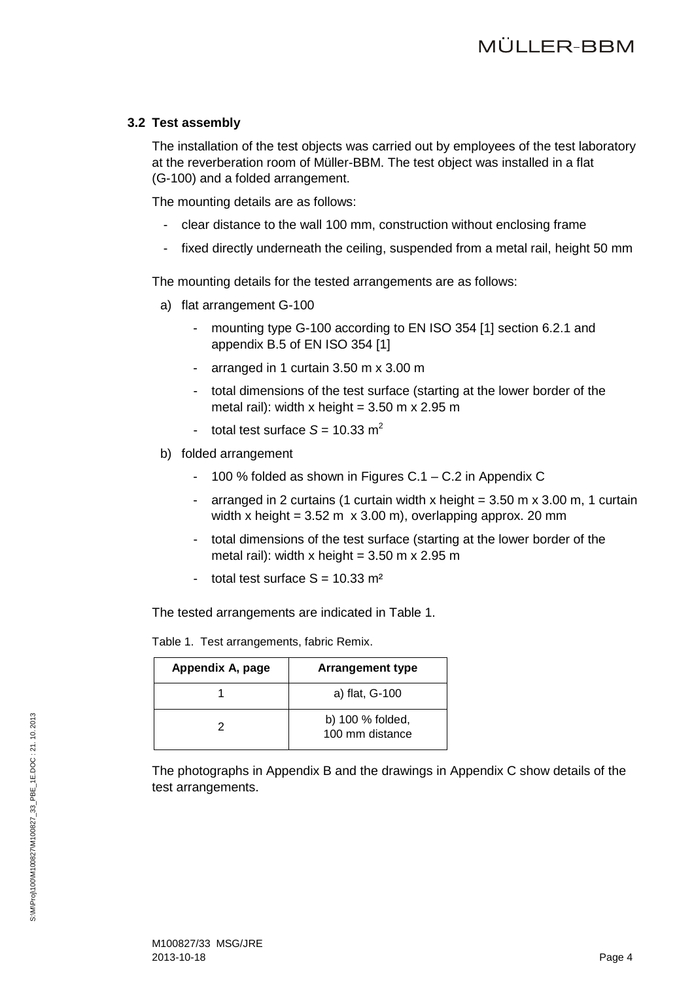### <span id="page-3-0"></span>**3.2 Test assembly**

The installation of the test objects was carried out by employees of the test laboratory at the reverberation room of Müller-BBM. The test object was installed in a flat (G-100) and a folded arrangement.

The mounting details are as follows:

- clear distance to the wall 100 mm, construction without enclosing frame
- fixed directly underneath the ceiling, suspended from a metal rail, height 50 mm

The mounting details for the tested arrangements are as follows:

- a) flat arrangement G-100
	- mounting type G-100 according to EN ISO 354 [\[1\]](#page-2-4) section 6.2.1 and appendix B.5 of EN ISO 354 [\[1\]](#page-2-4)
	- arranged in 1 curtain 3.50 m x 3.00 m
	- total dimensions of the test surface (starting at the lower border of the metal rail): width x height =  $3.50$  m x 2.95 m
	- total test surface  $S = 10.33$  m<sup>2</sup>
- b) folded arrangement
	- 100 % folded as shown in Figures C.1 C.2 in Appendix C
	- arranged in 2 curtains (1 curtain width x height  $= 3.50$  m x 3.00 m, 1 curtain width x height =  $3.52 \text{ m} \times 3.00 \text{ m}$ , overlapping approx. 20 mm
	- total dimensions of the test surface (starting at the lower border of the metal rail): width x height =  $3.50$  m x 2.95 m
	- total test surface  $S = 10.33$  m<sup>2</sup>

The tested arrangements are indicated in Table 1.

Table 1.Test arrangements, fabric Remix.

| Appendix A, page | <b>Arrangement type</b>             |
|------------------|-------------------------------------|
|                  | a) flat, G-100                      |
|                  | b) 100 % folded,<br>100 mm distance |

The photographs in Appendix B and the drawings in Appendix C show details of the test arrangements.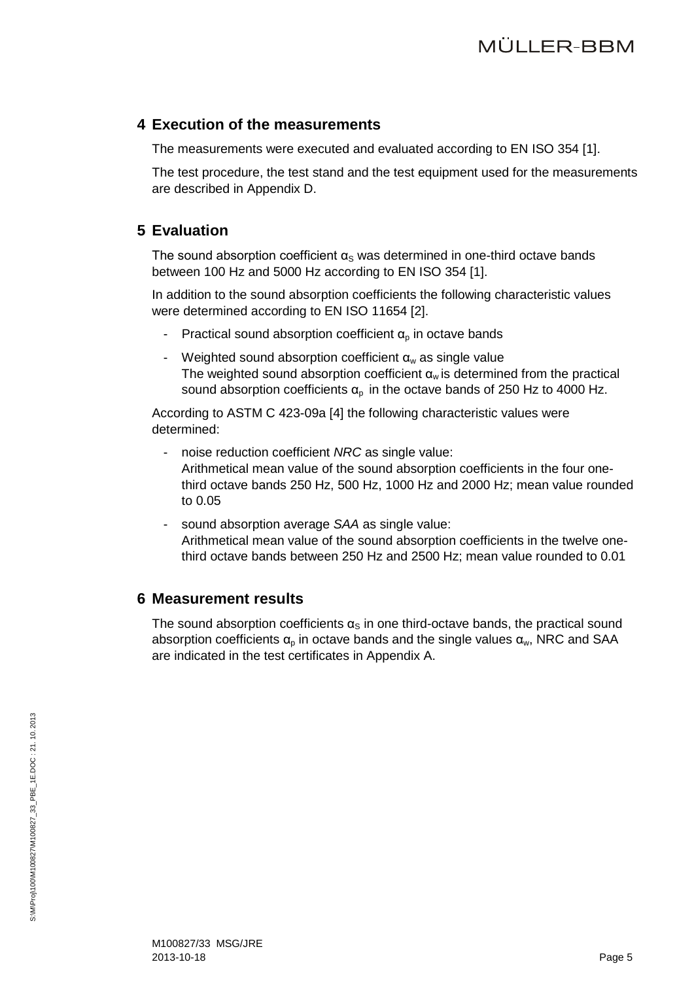### <span id="page-4-0"></span>**4 Execution of the measurements**

The measurements were executed and evaluated according to EN ISO 354 [\[1\].](#page-2-4)

The test procedure, the test stand and the test equipment used for the measurements are described in Appendix D.

# <span id="page-4-1"></span>**5 Evaluation**

The sound absorption coefficient  $\alpha_s$  was determined in one-third octave bands between 100 Hz and 5000 Hz according to EN ISO 354 [\[1\].](#page-2-4)

In addition to the sound absorption coefficients the following characteristic values were determined according to EN ISO 11654 [\[2\].](#page-2-6)

- Practical sound absorption coefficient  $\alpha_{p}$  in octave bands
- Weighted sound absorption coefficient  $\alpha_w$  as single value The weighted sound absorption coefficient  $\alpha_w$  is determined from the practical sound absorption coefficients  $\alpha_p$  in the octave bands of 250 Hz to 4000 Hz.

According to ASTM C 423-09a [\[4\]](#page-2-7) the following characteristic values were determined:

- noise reduction coefficient *NRC* as single value: Arithmetical mean value of the sound absorption coefficients in the four onethird octave bands 250 Hz, 500 Hz, 1000 Hz and 2000 Hz; mean value rounded to 0.05
- sound absorption average *SAA* as single value: Arithmetical mean value of the sound absorption coefficients in the twelve onethird octave bands between 250 Hz and 2500 Hz; mean value rounded to 0.01

# <span id="page-4-2"></span>**6 Measurement results**

The sound absorption coefficients  $\alpha_s$  in one third-octave bands, the practical sound absorption coefficients  $\alpha_p$  in octave bands and the single values  $\alpha_w$ , NRC and SAA are indicated in the test certificates in Appendix A.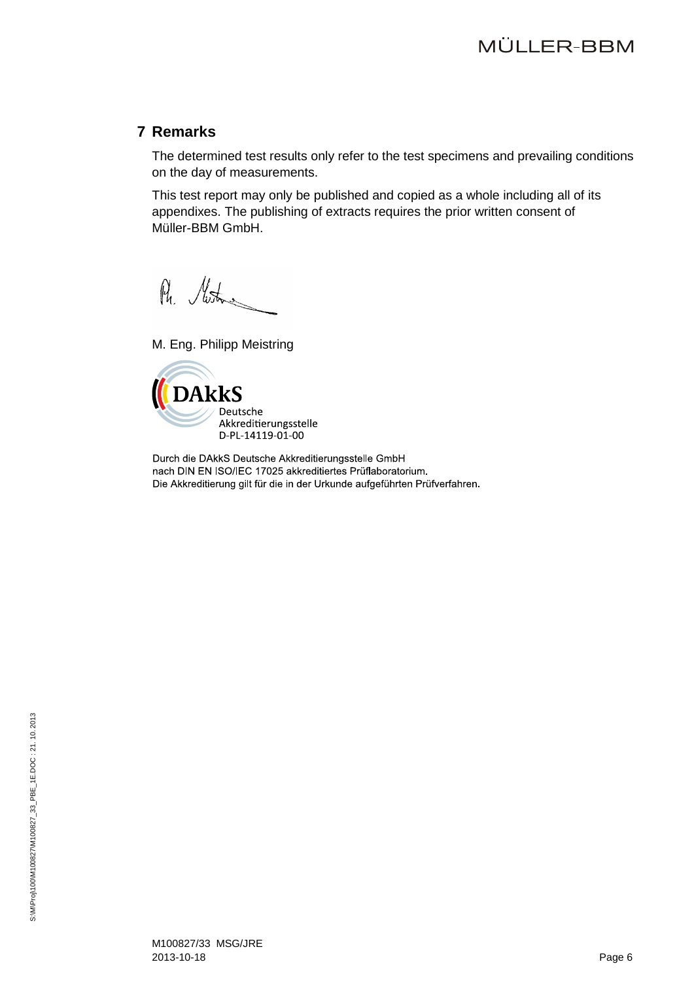# <span id="page-5-0"></span>**7 Remarks**

The determined test results only refer to the test specimens and prevailing conditions on the day of measurements.

This test report may only be published and copied as a whole including all of its appendixes. The publishing of extracts requires the prior written consent of Müller-BBM GmbH.

Ph. Moston

M. Eng. Philipp Meistring



Durch die DAkkS Deutsche Akkreditierungsstelle GmbH nach DIN EN ISO/IEC 17025 akkreditiertes Prüflaboratorium. Die Akkreditierung gilt für die in der Urkunde aufgeführten Prüfverfahren.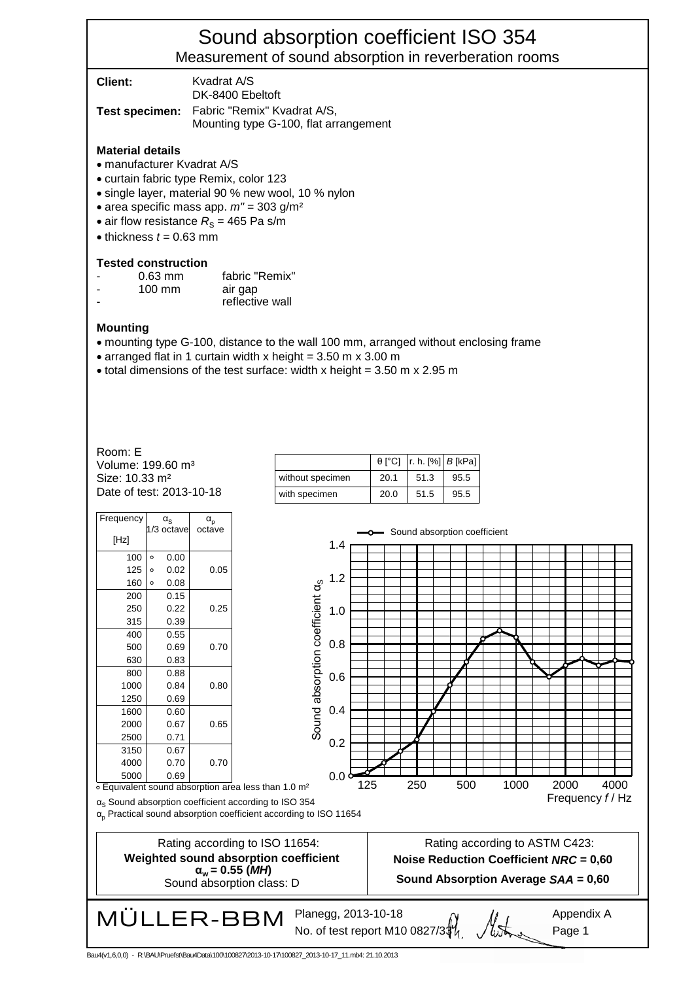# Sound absorption coefficient ISO 354 Measurement of sound absorption in reverberation rooms

| Client: | Kvadrat A/S<br>DK-8400 Ebeltoft                                                            |
|---------|--------------------------------------------------------------------------------------------|
|         | <b>Test specimen:</b> Fabric "Remix" Kvadrat A/S,<br>Mounting type G-100, flat arrangement |

#### **Material details**

- manufacturer Kvadrat A/S
- curtain fabric type Remix, color 123
- single layer, material 90 % new wool, 10 % nylon
- area specific mass app. *m"* = 303 g/m²
- air flow resistance  $R<sub>S</sub>$  = 465 Pa s/m
- $\bullet$  thickness  $t = 0.63$  mm

#### **Tested construction**

| $\overline{\phantom{a}}$ | $0.63$ mm        | fabric "Remix"  |
|--------------------------|------------------|-----------------|
|                          | $100 \text{ mm}$ | air gap         |
|                          |                  | reflective wall |

#### **Mounting**

- mounting type G-100, distance to the wall 100 mm, arranged without enclosing frame
- arranged flat in 1 curtain width x height =  $3.50$  m x  $3.00$  m
- total dimensions of the test surface: width x height =  $3.50 \text{ m}$  x  $2.95 \text{ m}$

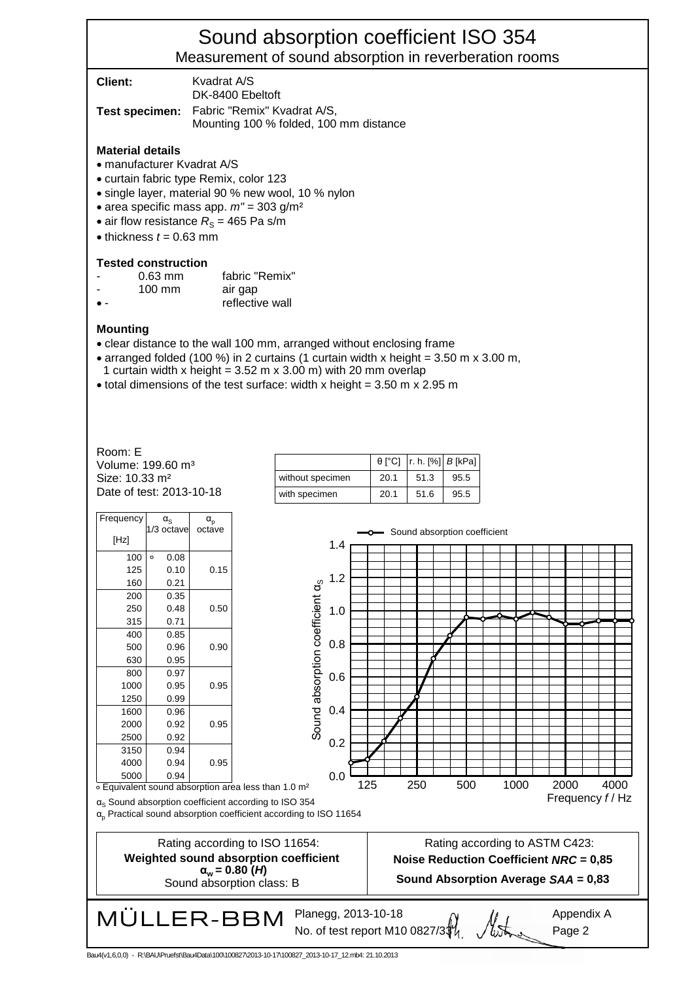# Sound absorption coefficient ISO 354 Measurement of sound absorption in reverberation rooms

| <b>Client:</b> | Kvadrat A/S<br>DK-8400 Ebeltoft                                                      |
|----------------|--------------------------------------------------------------------------------------|
|                | Test specimen: Fabric "Remix" Kvadrat A/S,<br>Mounting 100 % folded, 100 mm distance |

#### **Material details**

- manufacturer Kvadrat A/S
- curtain fabric type Remix, color 123
- single layer, material 90 % new wool, 10 % nylon
- area specific mass app. *m"* = 303 g/m²
- air flow resistance  $R<sub>S</sub>$  = 465 Pa s/m
- $\bullet$  thickness  $t = 0.63$  mm

#### **Tested construction**

| $0.63$ mm        | fabric "Remix" |
|------------------|----------------|
| $100 \text{ mm}$ | air gap        |

• - reflective wall

#### **Mounting**

- clear distance to the wall 100 mm, arranged without enclosing frame
- arranged folded (100 %) in 2 curtains (1 curtain width x height =  $3.50$  m x  $3.00$  m,
- 1 curtain width x height =  $3.52$  m x  $3.00$  m) with 20 mm overlap
- total dimensions of the test surface: width x height =  $3.50$  m x  $2.95$  m

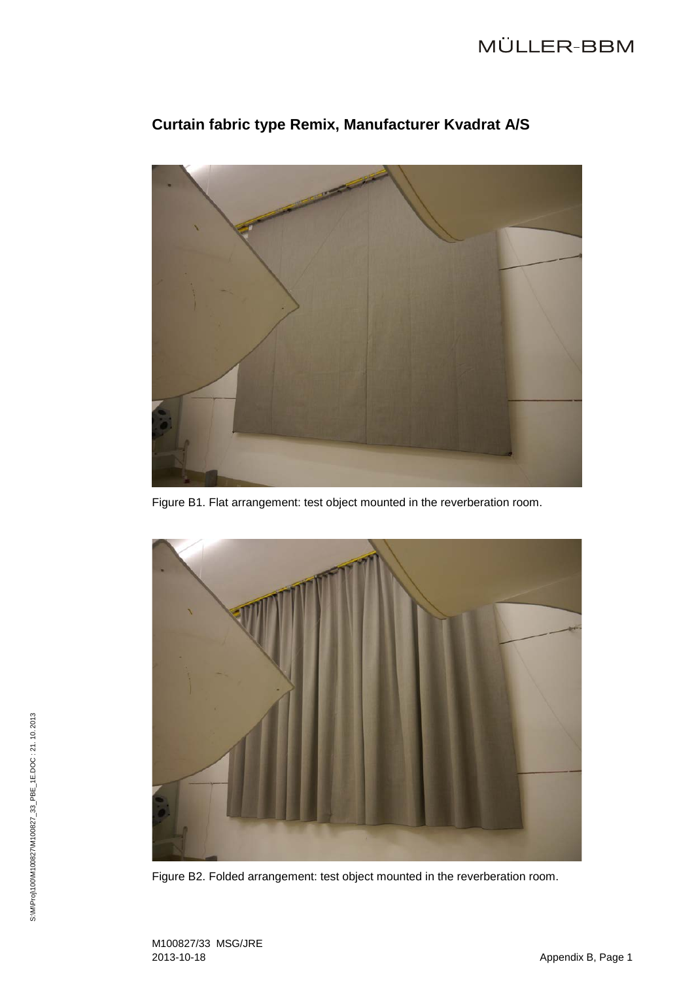# MÜLLER-BBM



# **Curtain fabric type Remix, Manufacturer Kvadrat A/S**

Figure B1. Flat arrangement: test object mounted in the reverberation room.



Figure B2. Folded arrangement: test object mounted in the reverberation room.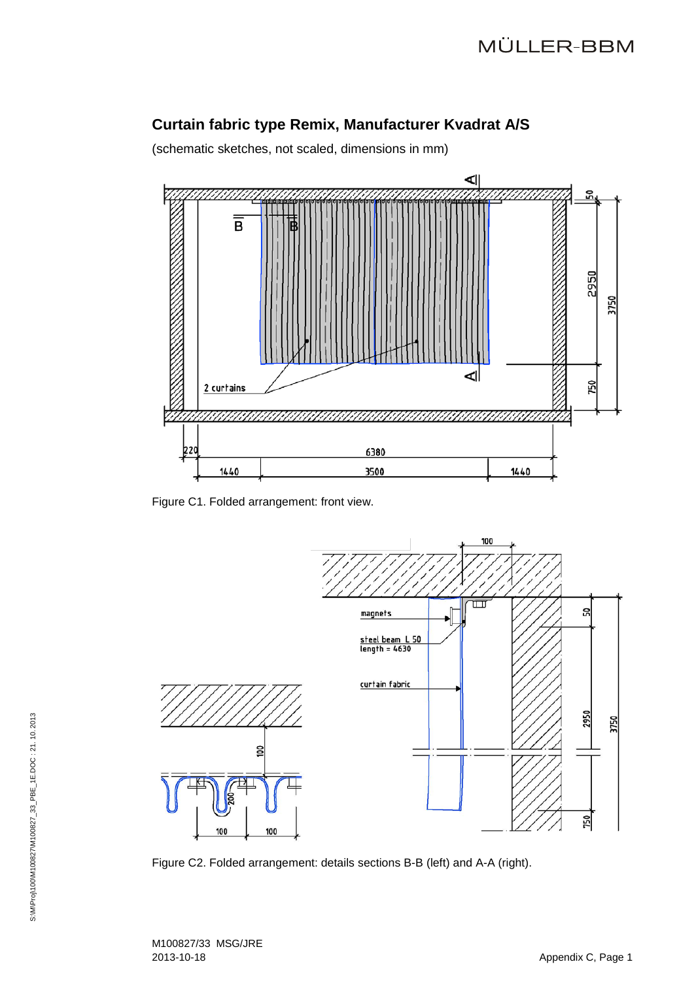# **Curtain fabric type Remix, Manufacturer Kvadrat A/S**

(schematic sketches, not scaled, dimensions in mm)



Figure C1. Folded arrangement: front view.



Figure C2. Folded arrangement: details sections B-B (left) and A-A (right).

M100827/33 MSG/JRE 2013-10-18 Appendix C, Page 1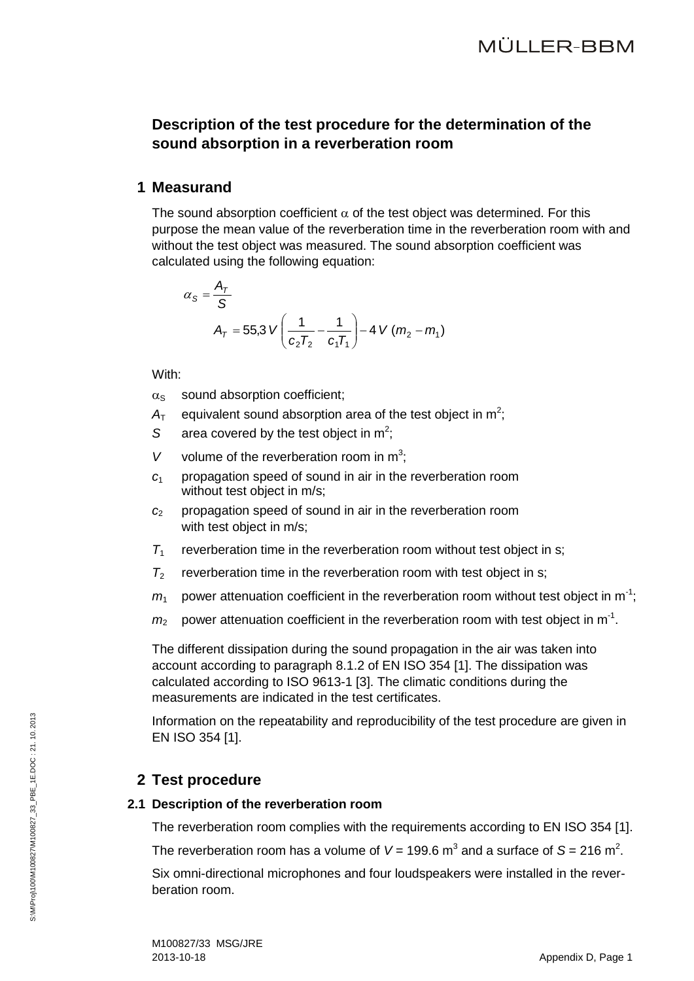# **Description of the test procedure for the determination of the sound absorption in a reverberation room**

### **1 Measurand**

The sound absorption coefficient  $\alpha$  of the test object was determined. For this purpose the mean value of the reverberation time in the reverberation room with and without the test object was measured. The sound absorption coefficient was calculated using the following equation:

$$
\alpha_{S} = \frac{A_{T}}{S}
$$
  

$$
A_{T} = 55.3 \text{ V} \left( \frac{1}{c_{2}T_{2}} - \frac{1}{c_{1}T_{1}} \right) - 4 \text{ V} (m_{2} - m_{1})
$$

With:

- $\alpha_s$  sound absorption coefficient:
- $A<sub>T</sub>$  equivalent sound absorption area of the test object in m<sup>2</sup>;
- S area covered by the test object in  $m^2$ ;
- V volume of the reverberation room in  $m^3$ ;
- *c*<sup>1</sup> propagation speed of sound in air in the reverberation room without test object in m/s;
- *c*<sup>2</sup> propagation speed of sound in air in the reverberation room with test object in m/s;
- $T_1$  reverberation time in the reverberation room without test object in s;
- $T_2$  reverberation time in the reverberation room with test object in s;
- $m_1$  power attenuation coefficient in the reverberation room without test object in m<sup>-1</sup>;
- $m_2$  power attenuation coefficient in the reverberation room with test object in m<sup>-1</sup>.

The different dissipation during the sound propagation in the air was taken into account according to paragraph 8.1.2 of EN ISO 354 [\[1\].](#page-2-4) The dissipation was calculated according to ISO 9613-1 [\[3\].](#page-2-8) The climatic conditions during the measurements are indicated in the test certificates.

Information on the repeatability and reproducibility of the test procedure are given in EN ISO 354 [\[1\].](#page-2-4)

# **2 Test procedure**

### **2.1 Description of the reverberation room**

The reverberation room complies with the requirements according to EN ISO 354 [\[1\].](#page-2-4)

The reverberation room has a volume of  $V = 199.6$  m<sup>3</sup> and a surface of S = 216 m<sup>2</sup>.

Six omni-directional microphones and four loudspeakers were installed in the reverberation room.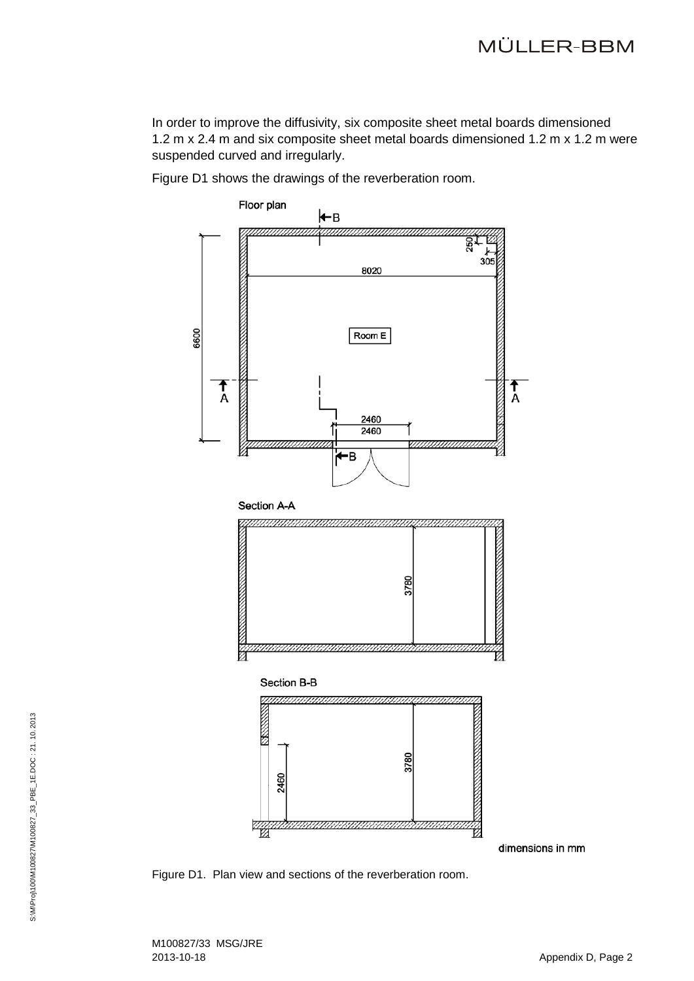In order to improve the diffusivity, six composite sheet metal boards dimensioned 1.2 m x 2.4 m and six composite sheet metal boards dimensioned 1.2 m x 1.2 m were suspended curved and irregularly.

Figure D1 shows the drawings of the reverberation room.



Figure D1. Plan view and sections of the reverberation room.

S:\M\Pro)100\M100827\M100827\_33\_PBE\_1E.DOC: 21.10.2013 S:\M\Proj\100\M100827\M100827\_33\_PBE\_1E.DOC : 21. 10. 2013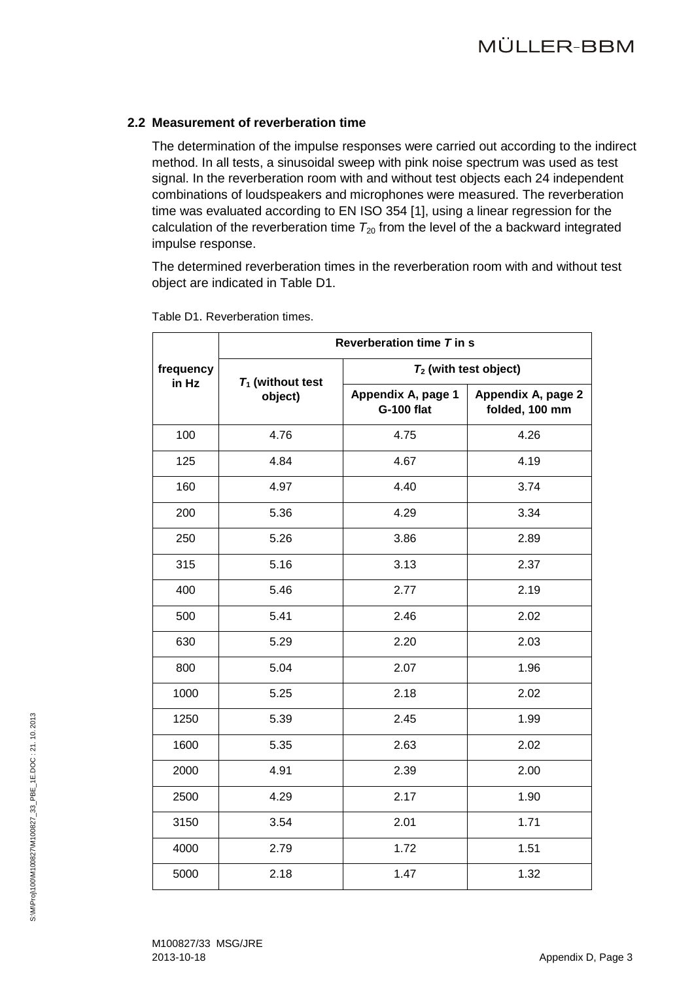### **2.2 Measurement of reverberation time**

The determination of the impulse responses were carried out according to the indirect method. In all tests, a sinusoidal sweep with pink noise spectrum was used as test signal. In the reverberation room with and without test objects each 24 independent combinations of loudspeakers and microphones were measured. The reverberation time was evaluated according to EN ISO 354 [\[1\],](#page-2-4) using a linear regression for the calculation of the reverberation time  $T_{20}$  from the level of the a backward integrated impulse response.

The determined reverberation times in the reverberation room with and without test object are indicated in Table D1.

|                    | Reverberation time T in s      |                                         |                                      |  |
|--------------------|--------------------------------|-----------------------------------------|--------------------------------------|--|
| frequency<br>in Hz | $T_1$ (without test<br>object) | $T_2$ (with test object)                |                                      |  |
|                    |                                | Appendix A, page 1<br><b>G-100 flat</b> | Appendix A, page 2<br>folded, 100 mm |  |
| 100                | 4.76                           | 4.75                                    | 4.26                                 |  |
| 125                | 4.84                           | 4.67                                    | 4.19                                 |  |
| 160                | 4.97                           | 4.40                                    | 3.74                                 |  |
| 200                | 5.36                           | 4.29                                    | 3.34                                 |  |
| 250                | 5.26                           | 3.86                                    | 2.89                                 |  |
| 315                | 5.16                           | 3.13                                    | 2.37                                 |  |
| 400                | 5.46                           | 2.77                                    | 2.19                                 |  |
| 500                | 5.41                           | 2.46                                    | 2.02                                 |  |
| 630                | 5.29                           | 2.20                                    | 2.03                                 |  |
| 800                | 5.04                           | 2.07                                    | 1.96                                 |  |
| 1000               | 5.25                           | 2.18                                    | 2.02                                 |  |
| 1250               | 5.39                           | 2.45                                    | 1.99                                 |  |
| 1600               | 5.35                           | 2.63                                    | 2.02                                 |  |
| 2000               | 4.91                           | 2.39                                    | 2.00                                 |  |
| 2500               | 4.29                           | 2.17                                    | 1.90                                 |  |
| 3150               | 3.54                           | 2.01                                    | 1.71                                 |  |
| 4000               | 2.79                           | 1.72                                    | 1.51                                 |  |
| 5000               | 2.18                           | 1.47                                    | 1.32                                 |  |

Table D1. Reverberation times.

M100827/33 MSG/JRE 2013-10-18 Appendix D, Page 3